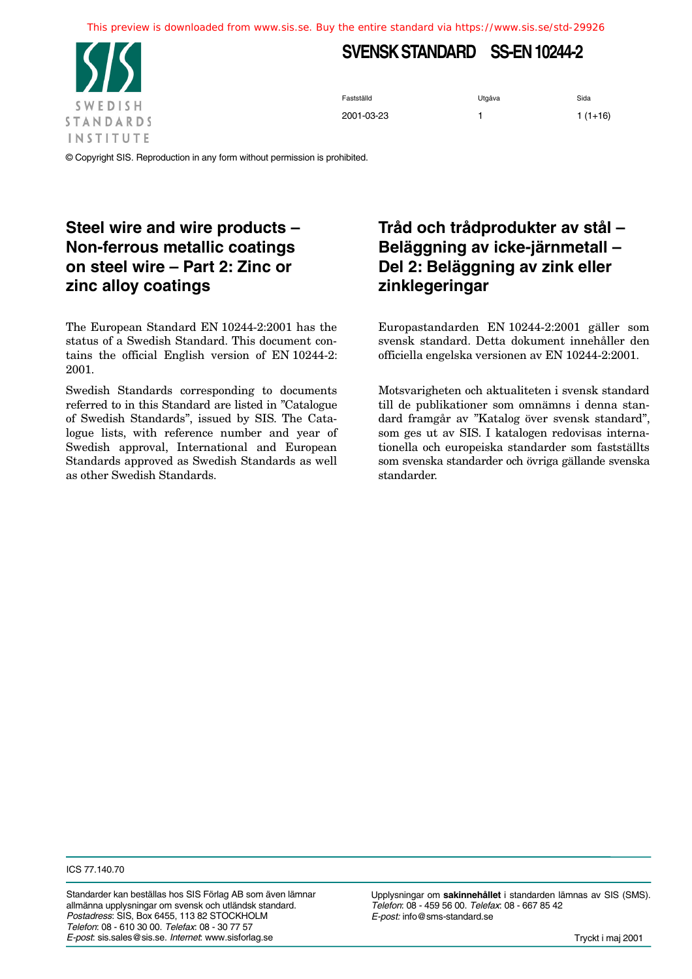This preview is downloaded from www.sis.se. Buy the entire standard via https://www.sis.se/std-29926



# **SVENSK STANDARD SS-EN 10244-2**

Fastställd Sida Utgåva Sida 2001-03-23 1 1 (1+16)

© Copyright SIS. Reproduction in any form without permission is prohibited.

## **Steel wire and wire products – Non-ferrous metallic coatings on steel wire – Part 2: Zinc or zinc alloy coatings**

The European Standard EN 10244-2:2001 has the status of a Swedish Standard. This document contains the official English version of EN 10244-2: 2001.

Swedish Standards corresponding to documents referred to in this Standard are listed in "Catalogue of Swedish Standards", issued by SIS. The Catalogue lists, with reference number and year of Swedish approval, International and European Standards approved as Swedish Standards as well as other Swedish Standards.

## **Tråd och trådprodukter av stål – Beläggning av icke-järnmetall – Del 2: Beläggning av zink eller zinklegeringar**

Europastandarden EN 10244-2:2001 gäller som svensk standard. Detta dokument innehåller den officiella engelska versionen av EN 10244-2:2001.

Motsvarigheten och aktualiteten i svensk standard till de publikationer som omnämns i denna standard framgår av "Katalog över svensk standard", som ges ut av SIS. I katalogen redovisas internationella och europeiska standarder som fastställts som svenska standarder och övriga gällande svenska standarder.

ICS 77.140.70

Standarder kan beställas hos SIS Förlag AB som även lämnar allmänna upplysningar om svensk och utländsk standard. Postadress: SIS, Box 6455, 113 82 STOCKHOLM Telefon: 08 - 610 30 00. Telefax: 08 - 30 77 57 E-post: sis.sales@sis.se. Internet: www.sisforlag.se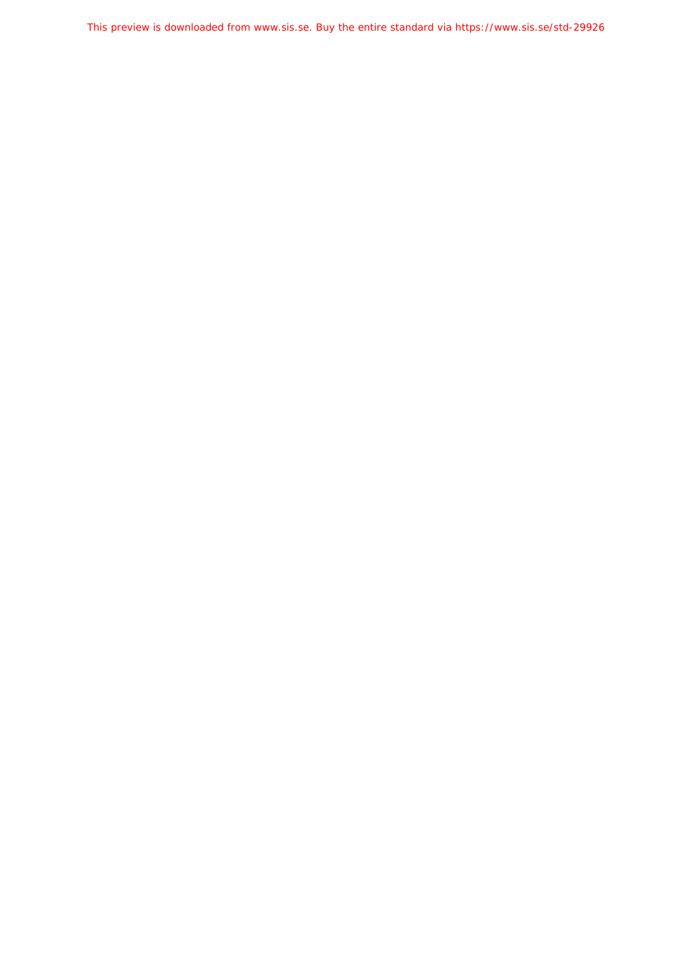This preview is downloaded from www.sis.se. Buy the entire standard via https://www.sis.se/std-29926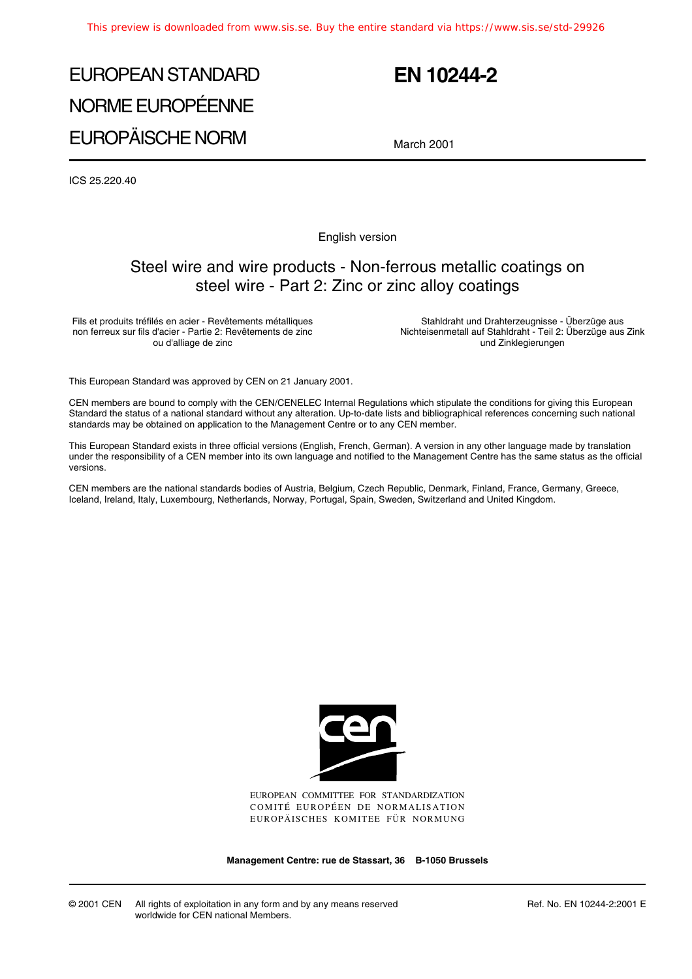# EUROPEAN STANDARD NORME EUROPÉENNE EUROPÄISCHE NORM

## **EN 10244-2**

March 2001

ICS 25.220.40

English version

## Steel wire and wire products - Non-ferrous metallic coatings on steel wire - Part 2: Zinc or zinc alloy coatings

Fils et produits tréfilés en acier - Revêtements métalliques non ferreux sur fils d'acier - Partie 2: Revêtements de zinc ou d'alliage de zinc

Stahldraht und Drahterzeugnisse - Überzüge aus Nichteisenmetall auf Stahldraht - Teil 2: Überzüge aus Zink und Zinklegierungen

This European Standard was approved by CEN on 21 January 2001.

CEN members are bound to comply with the CEN/CENELEC Internal Regulations which stipulate the conditions for giving this European Standard the status of a national standard without any alteration. Up-to-date lists and bibliographical references concerning such national standards may be obtained on application to the Management Centre or to any CEN member.

This European Standard exists in three official versions (English, French, German). A version in any other language made by translation under the responsibility of a CEN member into its own language and notified to the Management Centre has the same status as the official versions.

CEN members are the national standards bodies of Austria, Belgium, Czech Republic, Denmark, Finland, France, Germany, Greece, Iceland, Ireland, Italy, Luxembourg, Netherlands, Norway, Portugal, Spain, Sweden, Switzerland and United Kingdom.



EUROPEAN COMMITTEE FOR STANDARDIZATION COMITÉ EUROPÉEN DE NORMALISATION EUROPÄISCHES KOMITEE FÜR NORMUNG

**Management Centre: rue de Stassart, 36 B-1050 Brussels**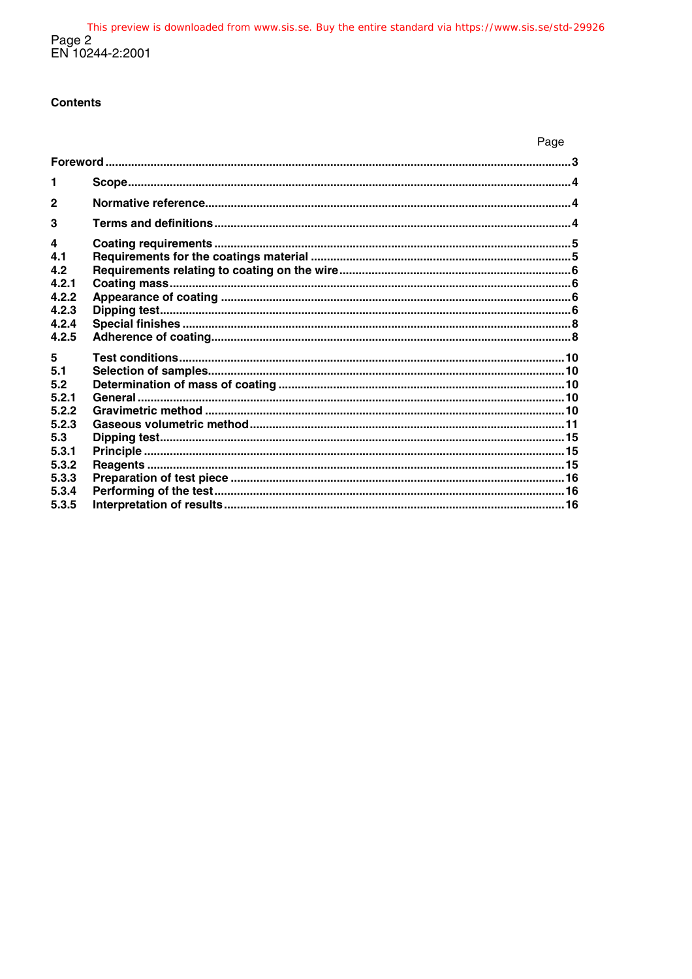#### **Contents**

|                | Page |
|----------------|------|
|                |      |
| 1              |      |
| $\overline{2}$ |      |
| 3              |      |
| 4              |      |
| 4.1            |      |
| 4.2            |      |
| 4.2.1          |      |
| 4.2.2          |      |
| 4.2.3          |      |
| 4.2.4          |      |
| 4.2.5          |      |
| 5              |      |
| 5.1            |      |
| 5.2            |      |
| 5.2.1          |      |
| 5.2.2          |      |
| 5.2.3          |      |
| 5.3            |      |
| 5.3.1          |      |
| 5.3.2          |      |
| 5.3.3          |      |
| 5.3.4          |      |
| 5.3.5          |      |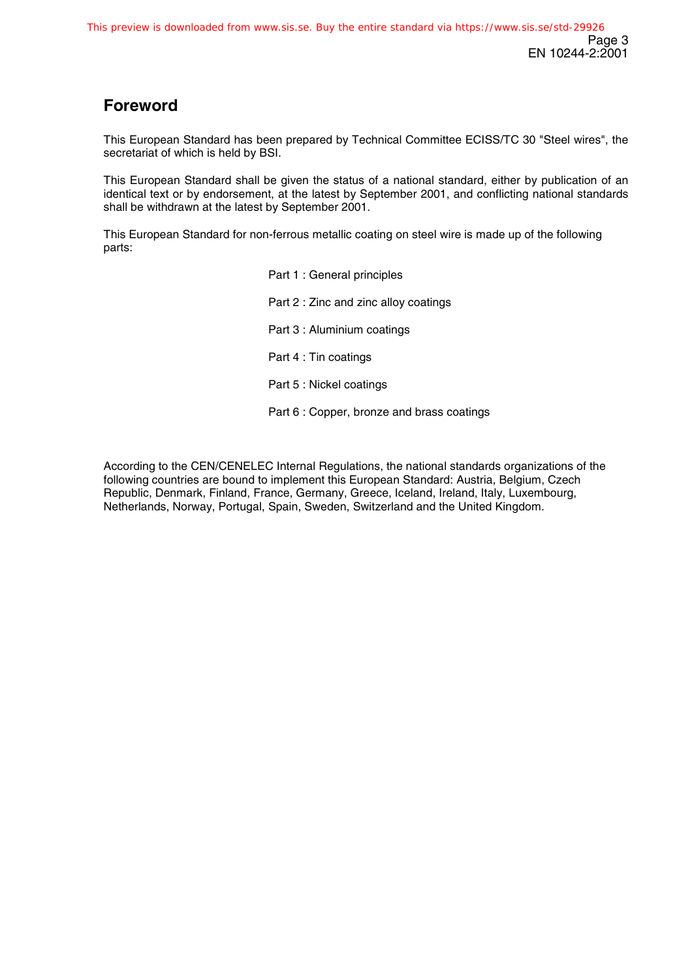## **Foreword**

This European Standard has been prepared by Technical Committee ECISS/TC 30 "Steel wires", the secretariat of which is held by BSI.

This European Standard shall be given the status of a national standard, either by publication of an identical text or by endorsement, at the latest by September 2001, and conflicting national standards shall be withdrawn at the latest by September 2001.

This European Standard for non-ferrous metallic coating on steel wire is made up of the following parts:

> Part 1 : General principles Part 2 : Zinc and zinc alloy coatings Part 3 : Aluminium coatings Part 4 : Tin coatings Part 5 : Nickel coatings Part 6 : Copper, bronze and brass coatings

According to the CEN/CENELEC Internal Regulations, the national standards organizations of the following countries are bound to implement this European Standard: Austria, Belgium, Czech Republic, Denmark, Finland, France, Germany, Greece, Iceland, Ireland, Italy, Luxembourg, Netherlands, Norway, Portugal, Spain, Sweden, Switzerland and the United Kingdom.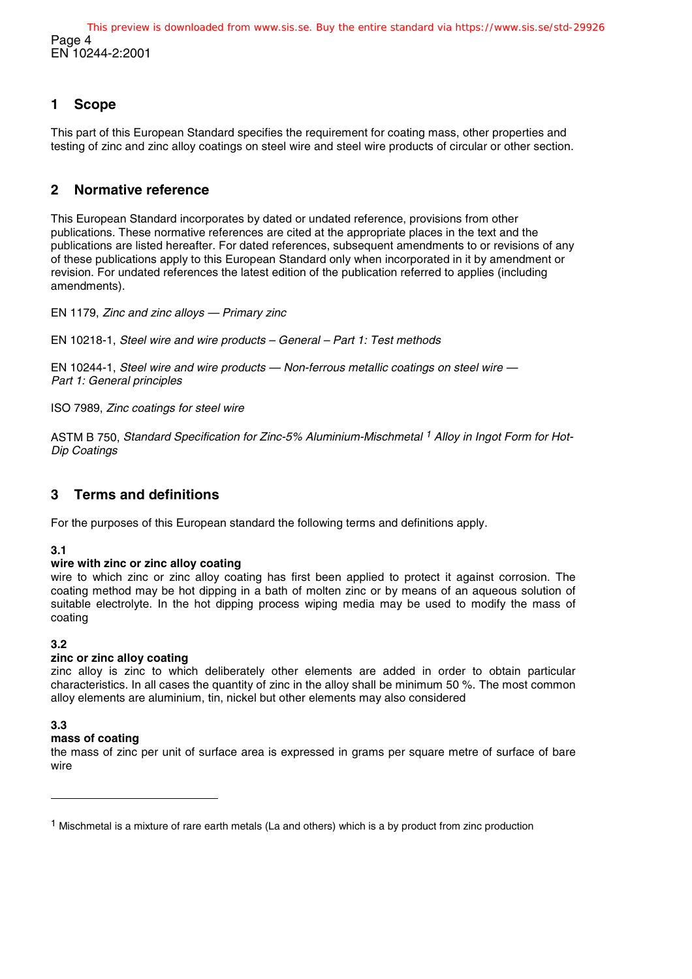#### **1 Scope**

This part of this European Standard specifies the requirement for coating mass, other properties and testing of zinc and zinc alloy coatings on steel wire and steel wire products of circular or other section.

#### **2 Normative reference**

This European Standard incorporates by dated or undated reference, provisions from other publications. These normative references are cited at the appropriate places in the text and the publications are listed hereafter. For dated references, subsequent amendments to or revisions of any of these publications apply to this European Standard only when incorporated in it by amendment or revision. For undated references the latest edition of the publication referred to applies (including amendments).

EN 1179, Zinc and zinc alloys — Primary zinc

EN 10218-1, Steel wire and wire products – General – Part 1: Test methods

EN 10244-1, Steel wire and wire products — Non-ferrous metallic coatings on steel wire — Part 1: General principles

ISO 7989, Zinc coatings for steel wire

ASTM B 750, Standard Specification for Zinc-5% Aluminium-Mischmetal <sup>1</sup> Alloy in Ingot Form for Hot-Dip Coatings

### **3 Terms and definitions**

For the purposes of this European standard the following terms and definitions apply.

#### **3.1**

#### **wire with zinc or zinc alloy coating**

wire to which zinc or zinc alloy coating has first been applied to protect it against corrosion. The coating method may be hot dipping in a bath of molten zinc or by means of an aqueous solution of suitable electrolyte. In the hot dipping process wiping media may be used to modify the mass of coating

#### **3.2**

#### **zinc or zinc alloy coating**

zinc alloy is zinc to which deliberately other elements are added in order to obtain particular characteristics. In all cases the quantity of zinc in the alloy shall be minimum 50 %. The most common alloy elements are aluminium, tin, nickel but other elements may also considered

#### **3.3**

-

#### **mass of coating**

the mass of zinc per unit of surface area is expressed in grams per square metre of surface of bare wire

<sup>&</sup>lt;sup>1</sup> Mischmetal is a mixture of rare earth metals (La and others) which is a by product from zinc production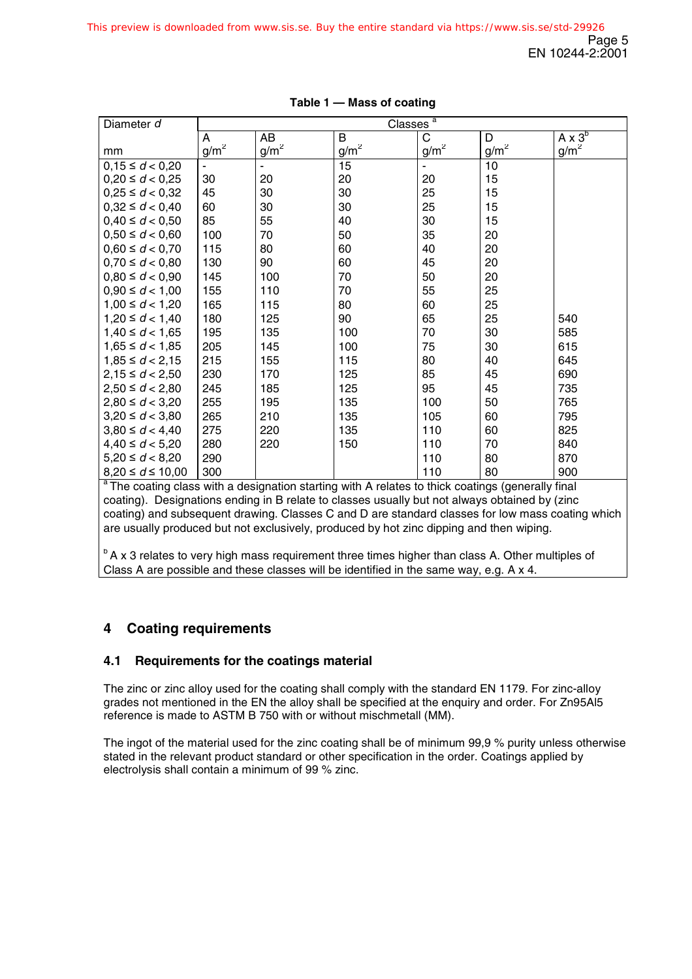| Diameter d                                                                                                   | Classes <sup>a</sup>     |                  |                  |                  |         |                  |  |  |  |
|--------------------------------------------------------------------------------------------------------------|--------------------------|------------------|------------------|------------------|---------|------------------|--|--|--|
|                                                                                                              | A                        | AB               | B                | $\mathsf{C}$     | D       | $A \times 3^b$   |  |  |  |
| mm                                                                                                           | g/m <sup>2</sup>         | g/m <sup>2</sup> | g/m <sup>2</sup> | g/m <sup>2</sup> | $g/m^2$ | g/m <sup>2</sup> |  |  |  |
| $0.15 \leq d < 0.20$                                                                                         | $\overline{\phantom{0}}$ | -                | 15               | $\blacksquare$   | 10      |                  |  |  |  |
| $0,20 \leq d < 0,25$                                                                                         | 30                       | 20               | 20               | 20               | 15      |                  |  |  |  |
| $0,25 \leq d < 0,32$                                                                                         | 45                       | 30               | 30               | 25               | 15      |                  |  |  |  |
| $0,32 \le d < 0,40$                                                                                          | 60                       | 30               | 30               | 25               | 15      |                  |  |  |  |
| $0,40 \le d < 0,50$                                                                                          | 85                       | 55               | 40               | 30               | 15      |                  |  |  |  |
| $0,50 \le d < 0,60$                                                                                          | 100                      | 70               | 50               | 35               | 20      |                  |  |  |  |
| $0,60 \leq d < 0,70$                                                                                         | 115                      | 80               | 60               | 40               | 20      |                  |  |  |  |
| $0,70 \le d < 0,80$                                                                                          | 130                      | 90               | 60               | 45               | 20      |                  |  |  |  |
| $0.80 \le d < 0.90$                                                                                          | 145                      | 100              | 70               | 50               | 20      |                  |  |  |  |
| $0,90 \leq d < 1,00$                                                                                         | 155                      | 110              | 70               | 55               | 25      |                  |  |  |  |
| $1,00 \leq d < 1,20$                                                                                         | 165                      | 115              | 80               | 60               | 25      |                  |  |  |  |
| $1,20 \leq d < 1,40$                                                                                         | 180                      | 125              | 90               | 65               | 25      | 540              |  |  |  |
| $1,40 \leq d < 1,65$                                                                                         | 195                      | 135              | 100              | 70               | 30      | 585              |  |  |  |
| $1,65 \leq d < 1,85$                                                                                         | 205                      | 145              | 100              | 75               | 30      | 615              |  |  |  |
| $1,85 \leq d < 2,15$                                                                                         | 215                      | 155              | 115              | 80               | 40      | 645              |  |  |  |
| $2,15 \leq d < 2,50$                                                                                         | 230                      | 170              | 125              | 85               | 45      | 690              |  |  |  |
| $2,50 \le d < 2,80$                                                                                          | 245                      | 185              | 125              | 95               | 45      | 735              |  |  |  |
| $2,80 \le d < 3,20$                                                                                          | 255                      | 195              | 135              | 100              | 50      | 765              |  |  |  |
| $3,20 \le d < 3,80$                                                                                          | 265                      | 210              | 135              | 105              | 60      | 795              |  |  |  |
| $3,80 \le d < 4,40$                                                                                          | 275                      | 220              | 135              | 110              | 60      | 825              |  |  |  |
| $4,40 \le d < 5,20$                                                                                          | 280                      | 220              | 150              | 110              | 70      | 840              |  |  |  |
| $5,20 \le d < 8,20$                                                                                          | 290                      |                  |                  | 110              | 80      | 870              |  |  |  |
| $8,20 \le d \le 10,00$                                                                                       | 300                      |                  |                  | 110              | 80      | 900              |  |  |  |
| <sup>a</sup> The coating class with a designation starting with A relates to thick coatings (generally final |                          |                  |                  |                  |         |                  |  |  |  |

#### **Table 1 — Mass of coating**

The coating class with a designation starting with A relates to thick coatings (generally final coating). Designations ending in B relate to classes usually but not always obtained by (zinc coating) and subsequent drawing. Classes C and D are standard classes for low mass coating which are usually produced but not exclusively, produced by hot zinc dipping and then wiping.

 $B$  A x 3 relates to very high mass requirement three times higher than class A. Other multiples of Class A are possible and these classes will be identified in the same way, e.g. A x 4.

#### **4 Coating requirements**

#### **4.1 Requirements for the coatings material**

The zinc or zinc alloy used for the coating shall comply with the standard EN 1179. For zinc-alloy grades not mentioned in the EN the alloy shall be specified at the enquiry and order. For Zn95Al5 reference is made to ASTM B 750 with or without mischmetall (MM).

The ingot of the material used for the zinc coating shall be of minimum 99,9 % purity unless otherwise stated in the relevant product standard or other specification in the order. Coatings applied by electrolysis shall contain a minimum of 99 % zinc.